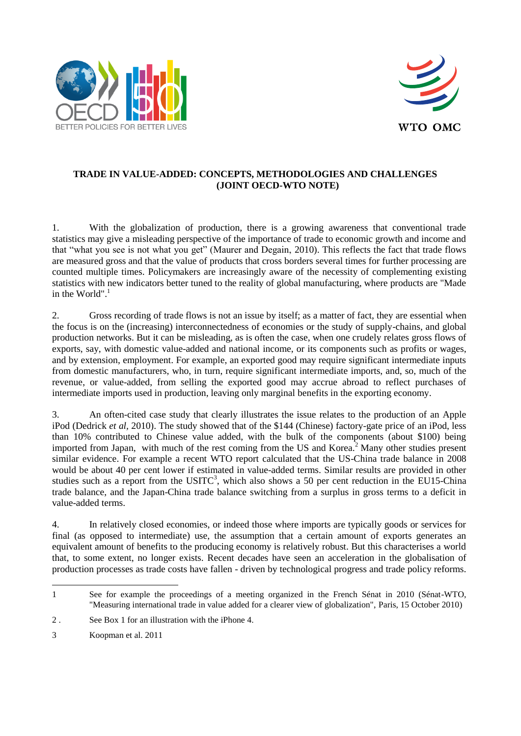



# **TRADE IN VALUE-ADDED: CONCEPTS, METHODOLOGIES AND CHALLENGES (JOINT OECD-WTO NOTE)**

1. With the globalization of production, there is a growing awareness that conventional trade statistics may give a misleading perspective of the importance of trade to economic growth and income and that "what you see is not what you get" (Maurer and Degain, 2010). This reflects the fact that trade flows are measured gross and that the value of products that cross borders several times for further processing are counted multiple times. Policymakers are increasingly aware of the necessity of complementing existing statistics with new indicators better tuned to the reality of global manufacturing, where products are "Made in the World". $1$ 

2. Gross recording of trade flows is not an issue by itself; as a matter of fact, they are essential when the focus is on the (increasing) interconnectedness of economies or the study of supply-chains, and global production networks. But it can be misleading, as is often the case, when one crudely relates gross flows of exports, say, with domestic value-added and national income, or its components such as profits or wages, and by extension, employment. For example, an exported good may require significant intermediate inputs from domestic manufacturers, who, in turn, require significant intermediate imports, and, so, much of the revenue, or value-added, from selling the exported good may accrue abroad to reflect purchases of intermediate imports used in production, leaving only marginal benefits in the exporting economy.

3. An often-cited case study that clearly illustrates the issue relates to the production of an Apple iPod (Dedrick *et al,* 2010). The study showed that of the \$144 (Chinese) factory-gate price of an iPod, less than 10% contributed to Chinese value added, with the bulk of the components (about \$100) being imported from Japan, with much of the rest coming from the US and Korea.<sup>2</sup> Many other studies present similar evidence. For example a recent WTO report calculated that the US-China trade balance in 2008 would be about 40 per cent lower if estimated in value-added terms. Similar results are provided in other studies such as a report from the USITC<sup>3</sup>, which also shows a 50 per cent reduction in the EU15-China trade balance, and the Japan-China trade balance switching from a surplus in gross terms to a deficit in value-added terms.

4. In relatively closed economies, or indeed those where imports are typically goods or services for final (as opposed to intermediate) use, the assumption that a certain amount of exports generates an equivalent amount of benefits to the producing economy is relatively robust. But this characterises a world that, to some extent, no longer exists. Recent decades have seen an acceleration in the globalisation of production processes as trade costs have fallen - driven by technological progress and trade policy reforms.

<sup>1</sup> See for example the proceedings of a meeting organized in the French Sénat in 2010 (Sénat-WTO, "Measuring international trade in value added for a clearer view of globalization", Paris, 15 October 2010)

<sup>2</sup> . See Box 1 for an illustration with the iPhone 4.

<sup>3</sup> Koopman et al. 2011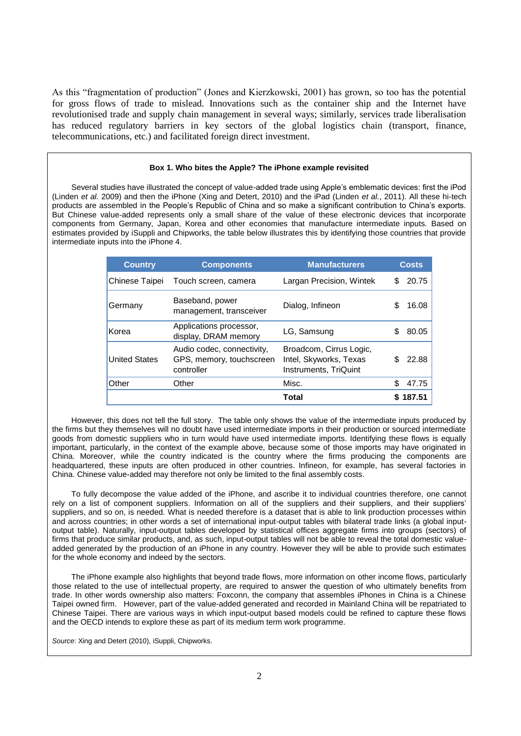As this "fragmentation of production" (Jones and Kierzkowski, 2001) has grown, so too has the potential for gross flows of trade to mislead. Innovations such as the container ship and the Internet have revolutionised trade and supply chain management in several ways; similarly, services trade liberalisation has reduced regulatory barriers in key sectors of the global logistics chain (transport, finance, telecommunications, etc.) and facilitated foreign direct investment.

#### **Box 1. Who bites the Apple? The iPhone example revisited**

Several studies have illustrated the concept of value-added trade using Apple's emblematic devices: first the iPod (Linden *et al.* 2009) and then the iPhone (Xing and Detert, 2010) and the iPad (Linden *et al.*, 2011). All these hi-tech products are assembled in the People's Republic of China and so make a significant contribution to China's exports. But Chinese value-added represents only a small share of the value of these electronic devices that incorporate components from Germany, Japan, Korea and other economies that manufacture intermediate inputs. Based on estimates provided by iSuppli and Chipworks, the table below illustrates this by identifying those countries that provide intermediate inputs into the iPhone 4.

| <b>Country</b>       | <b>Components</b>                                                    | <b>Manufacturers</b>                                                       |    | <b>Costs</b> |
|----------------------|----------------------------------------------------------------------|----------------------------------------------------------------------------|----|--------------|
| Chinese Taipei       | Touch screen, camera                                                 | Largan Precision, Wintek                                                   | S  | 20.75        |
| Germany              | Baseband, power<br>management, transceiver                           | Dialog, Infineon                                                           |    | 16.08        |
| Korea                | Applications processor,<br>display, DRAM memory                      | LG, Samsung                                                                | \$ | 80.05        |
| <b>United States</b> | Audio codec, connectivity,<br>GPS, memory, touchscreen<br>controller | Broadcom, Cirrus Logic,<br>Intel, Skyworks, Texas<br>Instruments, TriQuint |    | 22.88        |
| Other                | Other                                                                | Misc.                                                                      | \$ | 47.75        |
|                      |                                                                      | <b>Total</b>                                                               |    | 187.51       |

However, this does not tell the full story. The table only shows the value of the intermediate inputs produced by the firms but they themselves will no doubt have used intermediate imports in their production or sourced intermediate goods from domestic suppliers who in turn would have used intermediate imports. Identifying these flows is equally important, particularly, in the context of the example above, because some of those imports may have originated in China. Moreover, while the country indicated is the country where the firms producing the components are headquartered, these inputs are often produced in other countries. Infineon, for example, has several factories in China. Chinese value-added may therefore not only be limited to the final assembly costs.

To fully decompose the value added of the iPhone, and ascribe it to individual countries therefore, one cannot rely on a list of component suppliers. Information on all of the suppliers and their suppliers, and their suppliers' suppliers, and so on, is needed. What is needed therefore is a dataset that is able to link production processes within and across countries; in other words a set of international input-output tables with bilateral trade links (a global inputoutput table). Naturally, input-output tables developed by statistical offices aggregate firms into groups (sectors) of firms that produce similar products, and, as such, input-output tables will not be able to reveal the total domestic valueadded generated by the production of an iPhone in any country. However they will be able to provide such estimates for the whole economy and indeed by the sectors.

The iPhone example also highlights that beyond trade flows, more information on other income flows, particularly those related to the use of intellectual property, are required to answer the question of who ultimately benefits from trade. In other words ownership also matters: Foxconn, the company that assembles iPhones in China is a Chinese Taipei owned firm. However, part of the value-added generated and recorded in Mainland China will be repatriated to Chinese Taipei. There are various ways in which input-output based models could be refined to capture these flows and the OECD intends to explore these as part of its medium term work programme.

*Source*: Xing and Detert (2010), iSuppli, Chipworks.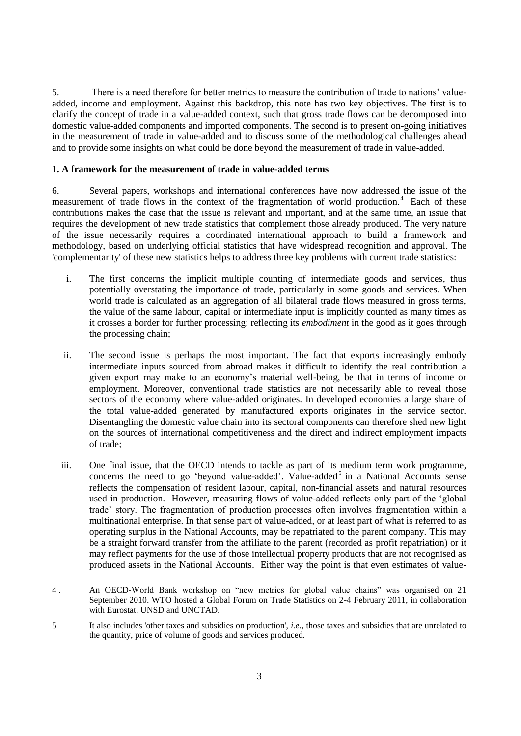5. There is a need therefore for better metrics to measure the contribution of trade to nations' valueadded, income and employment. Against this backdrop, this note has two key objectives. The first is to clarify the concept of trade in a value-added context, such that gross trade flows can be decomposed into domestic value-added components and imported components. The second is to present on-going initiatives in the measurement of trade in value-added and to discuss some of the methodological challenges ahead and to provide some insights on what could be done beyond the measurement of trade in value-added.

# **1. A framework for the measurement of trade in value-added terms**

6. Several papers, workshops and international conferences have now addressed the issue of the measurement of trade flows in the context of the fragmentation of world production.<sup>4</sup> Each of these contributions makes the case that the issue is relevant and important, and at the same time, an issue that requires the development of new trade statistics that complement those already produced. The very nature of the issue necessarily requires a coordinated international approach to build a framework and methodology, based on underlying official statistics that have widespread recognition and approval. The 'complementarity' of these new statistics helps to address three key problems with current trade statistics:

- i. The first concerns the implicit multiple counting of intermediate goods and services, thus potentially overstating the importance of trade, particularly in some goods and services. When world trade is calculated as an aggregation of all bilateral trade flows measured in gross terms, the value of the same labour, capital or intermediate input is implicitly counted as many times as it crosses a border for further processing: reflecting its *embodiment* in the good as it goes through the processing chain;
- ii. The second issue is perhaps the most important. The fact that exports increasingly embody intermediate inputs sourced from abroad makes it difficult to identify the real contribution a given export may make to an economy's material well-being, be that in terms of income or employment. Moreover, conventional trade statistics are not necessarily able to reveal those sectors of the economy where value-added originates. In developed economies a large share of the total value-added generated by manufactured exports originates in the service sector. Disentangling the domestic value chain into its sectoral components can therefore shed new light on the sources of international competitiveness and the direct and indirect employment impacts of trade;
- iii. One final issue, that the OECD intends to tackle as part of its medium term work programme, concerns the need to go 'beyond value-added'. Value-added<sup>5</sup> in a National Accounts sense reflects the compensation of resident labour, capital, non-financial assets and natural resources used in production. However, measuring flows of value-added reflects only part of the 'global trade' story. The fragmentation of production processes often involves fragmentation within a multinational enterprise. In that sense part of value-added, or at least part of what is referred to as operating surplus in the National Accounts, may be repatriated to the parent company. This may be a straight forward transfer from the affiliate to the parent (recorded as profit repatriation) or it may reflect payments for the use of those intellectual property products that are not recognised as produced assets in the National Accounts. Either way the point is that even estimates of value-

 4 . An OECD-World Bank workshop on "new metrics for global value chains" was organised on 21 September 2010. WTO hosted a Global Forum on Trade Statistics on 2-4 February 2011, in collaboration with Eurostat, UNSD and UNCTAD.

<sup>5</sup> It also includes 'other taxes and subsidies on production', *i.e*., those taxes and subsidies that are unrelated to the quantity, price of volume of goods and services produced.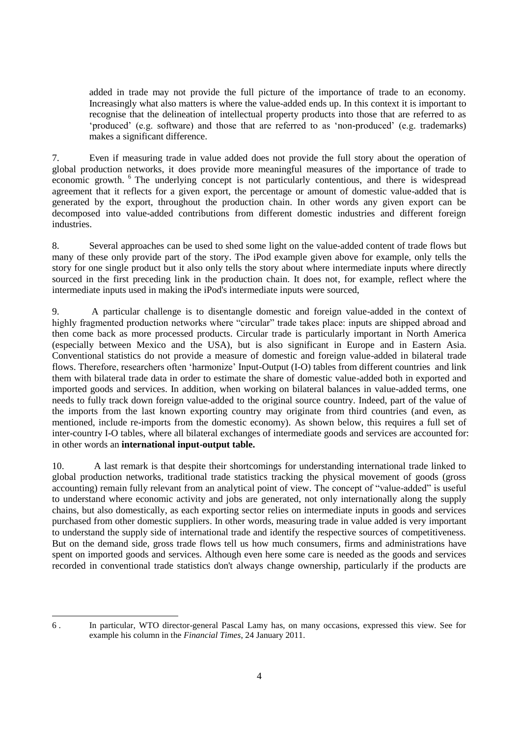added in trade may not provide the full picture of the importance of trade to an economy. Increasingly what also matters is where the value-added ends up. In this context it is important to recognise that the delineation of intellectual property products into those that are referred to as 'produced' (e.g. software) and those that are referred to as 'non-produced' (e.g. trademarks) makes a significant difference.

7. Even if measuring trade in value added does not provide the full story about the operation of global production networks, it does provide more meaningful measures of the importance of trade to economic growth. <sup>6</sup> The underlying concept is not particularly contentious, and there is widespread agreement that it reflects for a given export, the percentage or amount of domestic value-added that is generated by the export, throughout the production chain. In other words any given export can be decomposed into value-added contributions from different domestic industries and different foreign industries.

8. Several approaches can be used to shed some light on the value-added content of trade flows but many of these only provide part of the story. The iPod example given above for example, only tells the story for one single product but it also only tells the story about where intermediate inputs where directly sourced in the first preceding link in the production chain. It does not, for example, reflect where the intermediate inputs used in making the iPod's intermediate inputs were sourced,

9. A particular challenge is to disentangle domestic and foreign value-added in the context of highly fragmented production networks where "circular" trade takes place: inputs are shipped abroad and then come back as more processed products. Circular trade is particularly important in North America (especially between Mexico and the USA), but is also significant in Europe and in Eastern Asia. Conventional statistics do not provide a measure of domestic and foreign value-added in bilateral trade flows. Therefore, researchers often 'harmonize' Input-Output (I-O) tables from different countries and link them with bilateral trade data in order to estimate the share of domestic value-added both in exported and imported goods and services. In addition, when working on bilateral balances in value-added terms, one needs to fully track down foreign value-added to the original source country. Indeed, part of the value of the imports from the last known exporting country may originate from third countries (and even, as mentioned, include re-imports from the domestic economy). As shown below, this requires a full set of inter-country I-O tables, where all bilateral exchanges of intermediate goods and services are accounted for: in other words an **international input-output table.**

10. A last remark is that despite their shortcomings for understanding international trade linked to global production networks, traditional trade statistics tracking the physical movement of goods (gross accounting) remain fully relevant from an analytical point of view. The concept of "value-added" is useful to understand where economic activity and jobs are generated, not only internationally along the supply chains, but also domestically, as each exporting sector relies on intermediate inputs in goods and services purchased from other domestic suppliers. In other words, measuring trade in value added is very important to understand the supply side of international trade and identify the respective sources of competitiveness. But on the demand side, gross trade flows tell us how much consumers, firms and administrations have spent on imported goods and services. Although even here some care is needed as the goods and services recorded in conventional trade statistics don't always change ownership, particularly if the products are

<sup>6</sup> . In particular, WTO director-general Pascal Lamy has, on many occasions, expressed this view. See for example his column in the *Financial Times*, 24 January 2011.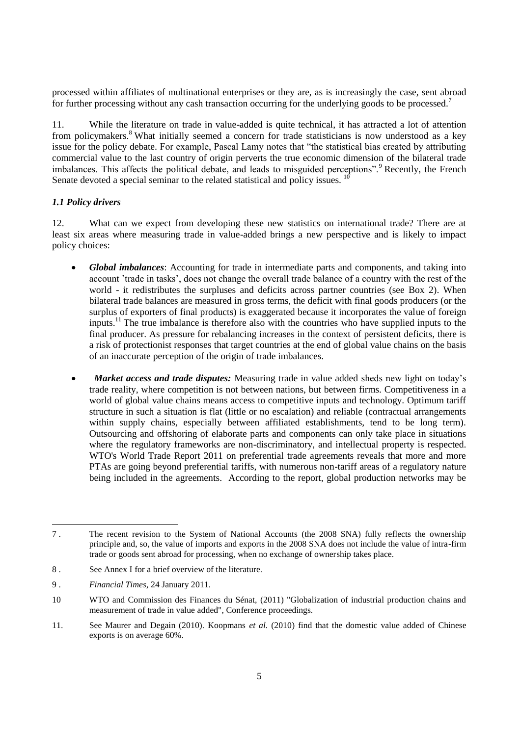processed within affiliates of multinational enterprises or they are, as is increasingly the case, sent abroad for further processing without any cash transaction occurring for the underlying goods to be processed.<sup>7</sup>

11. While the literature on trade in value-added is quite technical, it has attracted a lot of attention from policymakers.<sup>8</sup> What initially seemed a concern for trade statisticians is now understood as a key issue for the policy debate. For example, Pascal Lamy notes that "the statistical bias created by attributing commercial value to the last country of origin perverts the true economic dimension of the bilateral trade imbalances. This affects the political debate, and leads to misguided perceptions".<sup>9</sup> Recently, the French Senate devoted a special seminar to the related statistical and policy issues.  $10$ 

# *1.1 Policy drivers*

12. What can we expect from developing these new statistics on international trade? There are at least six areas where measuring trade in value-added brings a new perspective and is likely to impact policy choices:

- *Global imbalances*: Accounting for trade in intermediate parts and components, and taking into account 'trade in tasks', does not change the overall trade balance of a country with the rest of the world - it redistributes the surpluses and deficits across partner countries (see Box 2). When bilateral trade balances are measured in gross terms, the deficit with final goods producers (or the surplus of exporters of final products) is exaggerated because it incorporates the value of foreign inputs.<sup>11</sup> The true imbalance is therefore also with the countries who have supplied inputs to the final producer. As pressure for rebalancing increases in the context of persistent deficits, there is a risk of protectionist responses that target countries at the end of global value chains on the basis of an inaccurate perception of the origin of trade imbalances.
- *Market access and trade disputes:* Measuring trade in value added sheds new light on today's trade reality, where competition is not between nations, but between firms. Competitiveness in a world of global value chains means access to competitive inputs and technology. Optimum tariff structure in such a situation is flat (little or no escalation) and reliable (contractual arrangements within supply chains, especially between affiliated establishments, tend to be long term). Outsourcing and offshoring of elaborate parts and components can only take place in situations where the regulatory frameworks are non-discriminatory, and intellectual property is respected. WTO's World Trade Report 2011 on preferential trade agreements reveals that more and more PTAs are going beyond preferential tariffs, with numerous non-tariff areas of a regulatory nature being included in the agreements. According to the report, global production networks may be

<sup>7</sup> . The recent revision to the System of National Accounts (the 2008 SNA) fully reflects the ownership principle and, so, the value of imports and exports in the 2008 SNA does not include the value of intra-firm trade or goods sent abroad for processing, when no exchange of ownership takes place.

<sup>8</sup> . See Annex I for a brief overview of the literature.

<sup>9</sup> . *Financial Times*, 24 January 2011.

<sup>10</sup> WTO and Commission des Finances du Sénat, (2011) "Globalization of industrial production chains and measurement of trade in value added", Conference proceedings.

<sup>11.</sup> See Maurer and Degain (2010). Koopmans *et al.* (2010) find that the domestic value added of Chinese exports is on average 60%.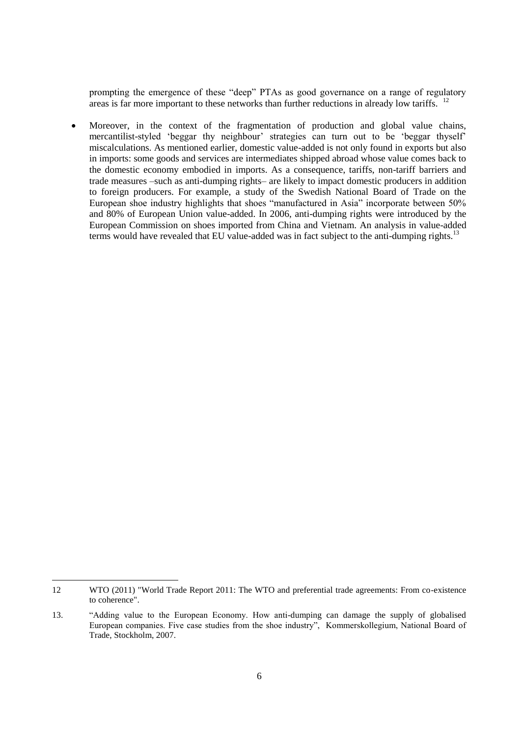prompting the emergence of these "deep" PTAs as good governance on a range of regulatory areas is far more important to these networks than further reductions in already low tariffs.  $12$ 

 Moreover, in the context of the fragmentation of production and global value chains, mercantilist-styled 'beggar thy neighbour' strategies can turn out to be 'beggar thyself' miscalculations. As mentioned earlier, domestic value-added is not only found in exports but also in imports: some goods and services are intermediates shipped abroad whose value comes back to the domestic economy embodied in imports. As a consequence, tariffs, non-tariff barriers and trade measures –such as anti-dumping rights– are likely to impact domestic producers in addition to foreign producers. For example, a study of the Swedish National Board of Trade on the European shoe industry highlights that shoes "manufactured in Asia" incorporate between 50% and 80% of European Union value-added. In 2006, anti-dumping rights were introduced by the European Commission on shoes imported from China and Vietnam. An analysis in value-added terms would have revealed that EU value-added was in fact subject to the anti-dumping rights.<sup>13</sup>

<sup>12</sup> WTO (2011) "World Trade Report 2011: The WTO and preferential trade agreements: From co-existence to coherence".

<sup>13.</sup> "Adding value to the European Economy. How anti-dumping can damage the supply of globalised European companies. Five case studies from the shoe industry", Kommerskollegium, National Board of Trade, Stockholm, 2007.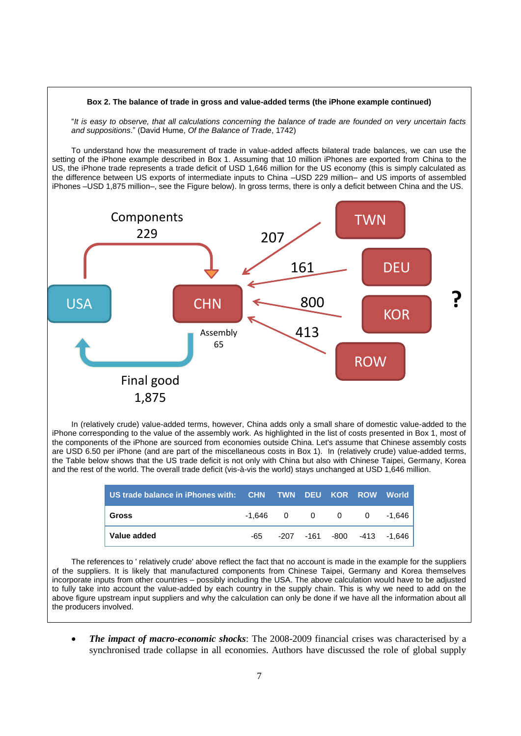# **Box 2. The balance of trade in gross and value-added terms (the iPhone example continued)** "*It is easy to observe, that all calculations concerning the balance of trade are founded on very uncertain facts and suppositions*." (David Hume, *Of the Balance of Trade*, 1742) To understand how the measurement of trade in value-added affects bilateral trade balances, we can use the setting of the iPhone example described in Box 1. Assuming that 10 million iPhones are exported from China to the US, the iPhone trade represents a trade deficit of USD 1,646 million for the US economy (this is simply calculated as the difference between US exports of intermediate inputs to China –USD 229 million– and US imports of assembled iPhones –USD 1,875 million–, see the Figure below). In gross terms, there is only a deficit between China and the US. USA CHN Final good 1,875 **Components** 229 TWN DEU **KOR** ROW 207 161 800 Assembly 413 65 **?** suppliers **?** suppliers **?**

In (relatively crude) value-added terms, however, China adds only a small share of domestic value-added to the iPhone corresponding to the value of the assembly work. As highlighted in the list of costs presented in Box 1, most of the components of the iPhone are sourced from economies outside China. Let's assume that Chinese assembly costs are USD 6.50 per iPhone (and are part of the miscellaneous costs in Box 1). In (relatively crude) value-added terms, the Table below shows that the US trade deficit is not only with China but also with Chinese Taipei, Germany, Korea and the rest of the world. The overall trade deficit (vis-à-vis the world) stays unchanged at USD 1,646 million.

| US trade balance in iPhones with: CHN TWN DEU KOR ROW World |     |  |  |                            |
|-------------------------------------------------------------|-----|--|--|----------------------------|
| Gross                                                       |     |  |  |                            |
| Value added                                                 | -65 |  |  | -207 -161 -800 -413 -1,646 |

The references to ' relatively crude' above reflect the fact that no account is made in the example for the suppliers of the suppliers. It is likely that manufactured components from Chinese Taipei, Germany and Korea themselves incorporate inputs from other countries – possibly including the USA. The above calculation would have to be adjusted to fully take into account the value-added by each country in the supply chain. This is why we need to add on the above figure upstream input suppliers and why the calculation can only be done if we have all the information about all the producers involved.

 *The impact of macro-economic shocks*: The 2008-2009 financial crises was characterised by a synchronised trade collapse in all economies. Authors have discussed the role of global supply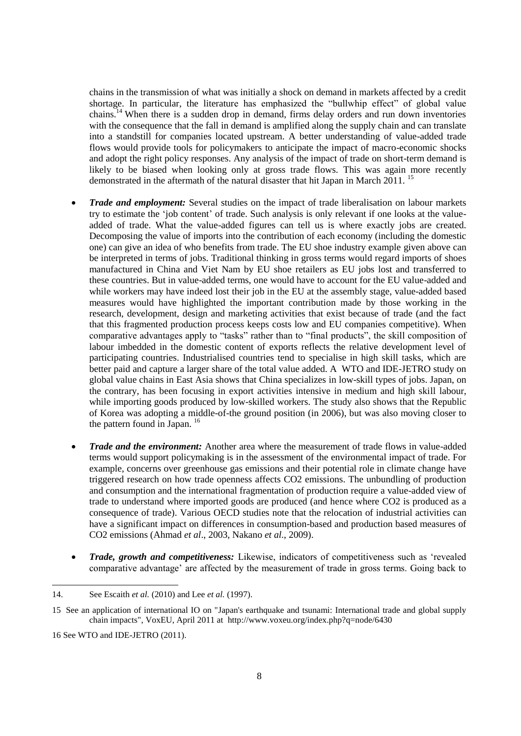chains in the transmission of what was initially a shock on demand in markets affected by a credit shortage. In particular, the literature has emphasized the "bullwhip effect" of global value chains.<sup>14</sup> When there is a sudden drop in demand, firms delay orders and run down inventories with the consequence that the fall in demand is amplified along the supply chain and can translate into a standstill for companies located upstream. A better understanding of value-added trade flows would provide tools for policymakers to anticipate the impact of macro-economic shocks and adopt the right policy responses. Any analysis of the impact of trade on short-term demand is likely to be biased when looking only at gross trade flows. This was again more recently demonstrated in the aftermath of the natural disaster that hit Japan in March 2011. <sup>15</sup>

- *Trade and employment:* Several studies on the impact of trade liberalisation on labour markets try to estimate the 'job content' of trade. Such analysis is only relevant if one looks at the valueadded of trade. What the value-added figures can tell us is where exactly jobs are created. Decomposing the value of imports into the contribution of each economy (including the domestic one) can give an idea of who benefits from trade. The EU shoe industry example given above can be interpreted in terms of jobs. Traditional thinking in gross terms would regard imports of shoes manufactured in China and Viet Nam by EU shoe retailers as EU jobs lost and transferred to these countries. But in value-added terms, one would have to account for the EU value-added and while workers may have indeed lost their job in the EU at the assembly stage, value-added based measures would have highlighted the important contribution made by those working in the research, development, design and marketing activities that exist because of trade (and the fact that this fragmented production process keeps costs low and EU companies competitive). When comparative advantages apply to "tasks" rather than to "final products", the skill composition of labour imbedded in the domestic content of exports reflects the relative development level of participating countries. Industrialised countries tend to specialise in high skill tasks, which are better paid and capture a larger share of the total value added. A WTO and IDE-JETRO study on global value chains in East Asia shows that China specializes in low-skill types of jobs. Japan, on the contrary, has been focusing in export activities intensive in medium and high skill labour, while importing goods produced by low-skilled workers. The study also shows that the Republic of Korea was adopting a middle-of-the ground position (in 2006), but was also moving closer to the pattern found in Japan.<sup>16</sup>
- *Trade and the environment:* Another area where the measurement of trade flows in value-added terms would support policymaking is in the assessment of the environmental impact of trade. For example, concerns over greenhouse gas emissions and their potential role in climate change have triggered research on how trade openness affects CO2 emissions. The unbundling of production and consumption and the international fragmentation of production require a value-added view of trade to understand where imported goods are produced (and hence where CO2 is produced as a consequence of trade). Various OECD studies note that the relocation of industrial activities can have a significant impact on differences in consumption-based and production based measures of CO2 emissions (Ahmad *et al*., 2003, Nakano *et al.*, 2009).
- *Trade, growth and competitiveness:* Likewise, indicators of competitiveness such as 'revealed comparative advantage' are affected by the measurement of trade in gross terms. Going back to

<sup>14.</sup> See Escaith *et al.* (2010) and Lee *et al.* (1997).

<sup>15</sup> See an application of international IO on "Japan's earthquake and tsunami: International trade and global supply chain impacts", VoxEU, April 2011 at http://www.voxeu.org/index.php?q=node/6430

<sup>16</sup> See WTO and IDE-JETRO (2011).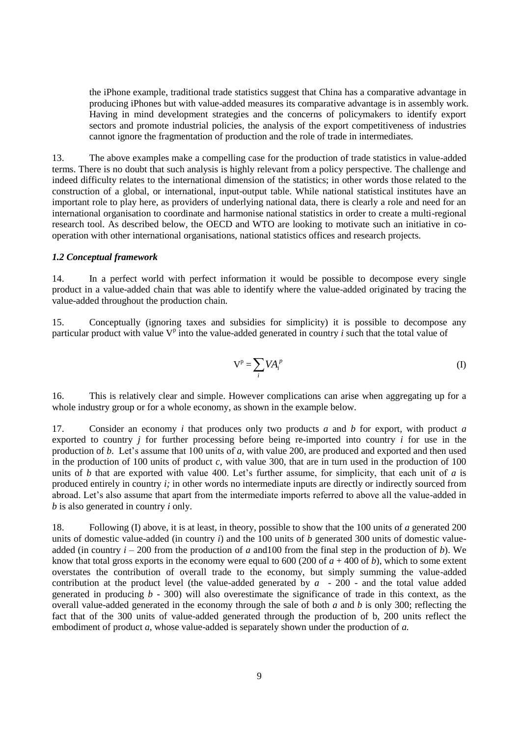the iPhone example, traditional trade statistics suggest that China has a comparative advantage in producing iPhones but with value-added measures its comparative advantage is in assembly work. Having in mind development strategies and the concerns of policymakers to identify export sectors and promote industrial policies, the analysis of the export competitiveness of industries cannot ignore the fragmentation of production and the role of trade in intermediates.

13. The above examples make a compelling case for the production of trade statistics in value-added terms. There is no doubt that such analysis is highly relevant from a policy perspective. The challenge and indeed difficulty relates to the international dimension of the statistics; in other words those related to the construction of a global, or international, input-output table. While national statistical institutes have an important role to play here, as providers of underlying national data, there is clearly a role and need for an international organisation to coordinate and harmonise national statistics in order to create a multi-regional research tool. As described below, the OECD and WTO are looking to motivate such an initiative in cooperation with other international organisations, national statistics offices and research projects.

#### *1.2 Conceptual framework*

14. In a perfect world with perfect information it would be possible to decompose every single product in a value-added chain that was able to identify where the value-added originated by tracing the value-added throughout the production chain.

15. Conceptually (ignoring taxes and subsidies for simplicity) it is possible to decompose any particular product with value  $V^p$  into the value-added generated in country *i* such that the total value of

$$
V^p = \sum_i V A_i^p \tag{I}
$$

16. This is relatively clear and simple. However complications can arise when aggregating up for a whole industry group or for a whole economy, as shown in the example below.

17. Consider an economy *i* that produces only two products *a* and *b* for export, with product *a* exported to country *j* for further processing before being re-imported into country *i* for use in the production of *b*. Let's assume that 100 units of *a,* with value 200, are produced and exported and then used in the production of 100 units of product *c,* with value 300, that are in turn used in the production of 100 units of *b* that are exported with value 400. Let's further assume, for simplicity, that each unit of *a* is produced entirely in country *i;* in other words no intermediate inputs are directly or indirectly sourced from abroad. Let's also assume that apart from the intermediate imports referred to above all the value-added in *b* is also generated in country *i* only.

18. Following (I) above, it is at least, in theory, possible to show that the 100 units of *a* generated 200 units of domestic value-added (in country *i*) and the 100 units of *b* generated 300 units of domestic valueadded (in country  $i - 200$  from the production of *a* and 100 from the final step in the production of *b*). We know that total gross exports in the economy were equal to 600 (200 of  $a + 400$  of  $b$ ), which to some extent overstates the contribution of overall trade to the economy, but simply summing the value-added contribution at the product level (the value-added generated by *a* - 200 - and the total value added generated in producing *b -* 300) will also overestimate the significance of trade in this context, as the overall value-added generated in the economy through the sale of both *a* and *b* is only 300; reflecting the fact that of the 300 units of value-added generated through the production of b, 200 units reflect the embodiment of product *a*, whose value-added is separately shown under the production of *a.*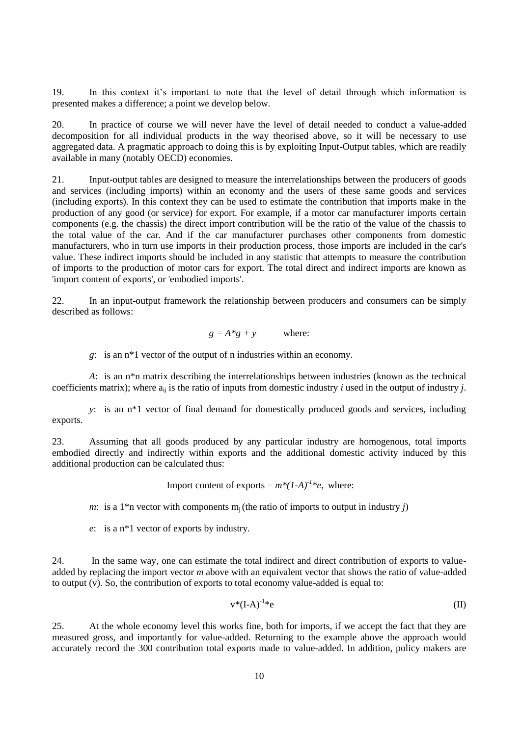19. In this context it's important to note that the level of detail through which information is presented makes a difference; a point we develop below.

20. In practice of course we will never have the level of detail needed to conduct a value-added decomposition for all individual products in the way theorised above, so it will be necessary to use aggregated data. A pragmatic approach to doing this is by exploiting Input-Output tables, which are readily available in many (notably OECD) economies.

21. Input-output tables are designed to measure the interrelationships between the producers of goods and services (including imports) within an economy and the users of these same goods and services (including exports). In this context they can be used to estimate the contribution that imports make in the production of any good (or service) for export. For example, if a motor car manufacturer imports certain components (e.g. the chassis) the direct import contribution will be the ratio of the value of the chassis to the total value of the car. And if the car manufacturer purchases other components from domestic manufacturers, who in turn use imports in their production process, those imports are included in the car's value. These indirect imports should be included in any statistic that attempts to measure the contribution of imports to the production of motor cars for export. The total direct and indirect imports are known as 'import content of exports', or 'embodied imports'.

22. In an input-output framework the relationship between producers and consumers can be simply described as follows:

$$
g = A * g + y \qquad \text{where:}
$$

*g*: is an n\*1 vector of the output of n industries within an economy.

*A*: is an n\*n matrix describing the interrelationships between industries (known as the technical coefficients matrix); where  $a_{ii}$  is the ratio of inputs from domestic industry *i* used in the output of industry *j*.

*y*: is an n\*1 vector of final demand for domestically produced goods and services, including exports.

23. Assuming that all goods produced by any particular industry are homogenous, total imports embodied directly and indirectly within exports and the additional domestic activity induced by this additional production can be calculated thus:

Import content of exports =  $m^*(1-A)^{-1*}e$ , where:

*m*: is a 1<sup>\*</sup>n vector with components  $m_i$  (the ratio of imports to output in industry *j*)

*e*: is a n\*1 vector of exports by industry.

24. In the same way, one can estimate the total indirect and direct contribution of exports to valueadded by replacing the import vector *m* above with an equivalent vector that shows the ratio of value-added to output (v). So, the contribution of exports to total economy value-added is equal to:

$$
v^*(I-A)^{-1*}e \tag{II}
$$

25. At the whole economy level this works fine, both for imports, if we accept the fact that they are measured gross, and importantly for value-added. Returning to the example above the approach would accurately record the 300 contribution total exports made to value-added. In addition, policy makers are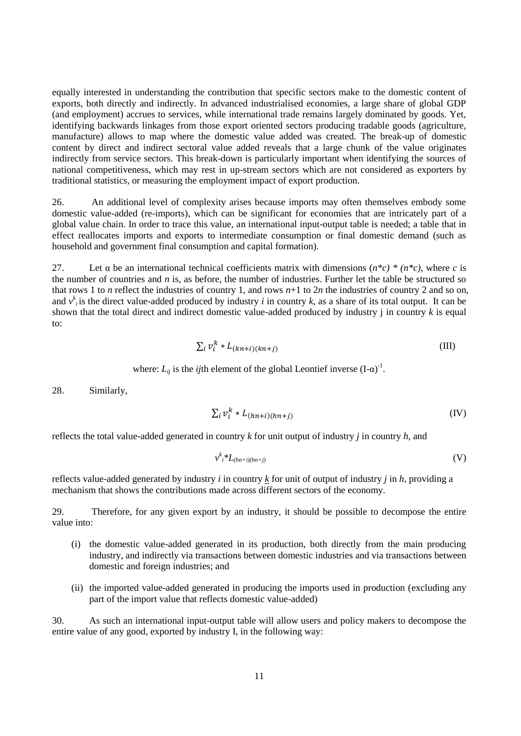equally interested in understanding the contribution that specific sectors make to the domestic content of exports, both directly and indirectly. In advanced industrialised economies, a large share of global GDP (and employment) accrues to services, while international trade remains largely dominated by goods. Yet, identifying backwards linkages from those export oriented sectors producing tradable goods (agriculture, manufacture) allows to map where the domestic value added was created. The break-up of domestic content by direct and indirect sectoral value added reveals that a large chunk of the value originates indirectly from service sectors. This break-down is particularly important when identifying the sources of national competitiveness, which may rest in up-stream sectors which are not considered as exporters by traditional statistics, or measuring the employment impact of export production.

26. An additional level of complexity arises because imports may often themselves embody some domestic value-added (re-imports), which can be significant for economies that are intricately part of a global value chain. In order to trace this value, an international input-output table is needed; a table that in effect reallocates imports and exports to intermediate consumption or final domestic demand (such as household and government final consumption and capital formation).

27. Let α be an international technical coefficients matrix with dimensions (*n\*c) \* (n\*c)*, where *c* is the number of countries and *n* is, as before, the number of industries. Further let the table be structured so that rows 1 to *n* reflect the industries of country 1, and rows  $n+1$  to  $2n$  the industries of country 2 and so on, and  $v^k_i$  is the direct value-added produced by industry *i* in country *k*, as a share of its total output. It can be shown that the total direct and indirect domestic value-added produced by industry j in country *k* is equal to:

$$
\sum_{i} \nu_i^k * L_{(kn+i)(kn+j)} \tag{III}
$$

where: 
$$
L_{ij}
$$
 is the *ij*th element of the global Leontief inverse  $(I-\alpha)^{-1}$ .

28. Similarly,

$$
\sum_{i} v_i^k * L_{(hn+i)(hn+j)}
$$
 (IV)

reflects the total value-added generated in country *k* for unit output of industry *j* in country *h*, and

$$
v^k_i * L_{(hn+i)(hn+j)}
$$
 (V)

reflects value-added generated by industry *i* in country *k* for unit of output of industry *j* in *h,* providing a mechanism that shows the contributions made across different sectors of the economy.

29. Therefore, for any given export by an industry, it should be possible to decompose the entire value into:

- (i) the domestic value-added generated in its production, both directly from the main producing industry, and indirectly via transactions between domestic industries and via transactions between domestic and foreign industries; and
- (ii) the imported value-added generated in producing the imports used in production (excluding any part of the import value that reflects domestic value-added)

30. As such an international input-output table will allow users and policy makers to decompose the entire value of any good, exported by industry I, in the following way: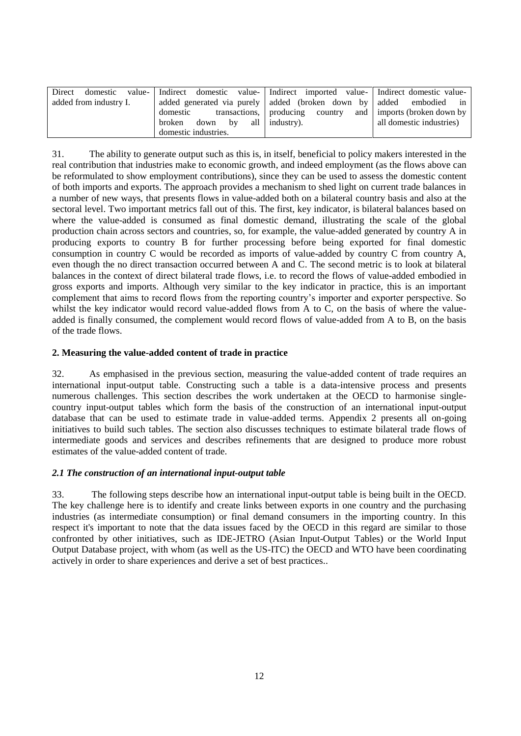| Direct                                                                                       | domestic value- Indirect domestic value- Indirect imported value- Indirect domestic value- |                                                                 |                          |
|----------------------------------------------------------------------------------------------|--------------------------------------------------------------------------------------------|-----------------------------------------------------------------|--------------------------|
| added generated via purely added (broken down by added embodied in<br>added from industry I. |                                                                                            |                                                                 |                          |
|                                                                                              | domestic                                                                                   | transactions,   producing country and   imports (broken down by |                          |
|                                                                                              | $down \quad by \quad all \mid industry)$ .<br>broken                                       |                                                                 | all domestic industries) |
|                                                                                              | domestic industries.                                                                       |                                                                 |                          |

31. The ability to generate output such as this is, in itself, beneficial to policy makers interested in the real contribution that industries make to economic growth, and indeed employment (as the flows above can be reformulated to show employment contributions), since they can be used to assess the domestic content of both imports and exports. The approach provides a mechanism to shed light on current trade balances in a number of new ways, that presents flows in value-added both on a bilateral country basis and also at the sectoral level. Two important metrics fall out of this. The first, key indicator, is bilateral balances based on where the value-added is consumed as final domestic demand, illustrating the scale of the global production chain across sectors and countries, so, for example, the value-added generated by country A in producing exports to country B for further processing before being exported for final domestic consumption in country C would be recorded as imports of value-added by country C from country A, even though the no direct transaction occurred between A and C. The second metric is to look at bilateral balances in the context of direct bilateral trade flows, i.e. to record the flows of value-added embodied in gross exports and imports. Although very similar to the key indicator in practice, this is an important complement that aims to record flows from the reporting country's importer and exporter perspective. So whilst the key indicator would record value-added flows from A to C, on the basis of where the valueadded is finally consumed, the complement would record flows of value-added from A to B, on the basis of the trade flows.

# **2. Measuring the value-added content of trade in practice**

32. As emphasised in the previous section, measuring the value-added content of trade requires an international input-output table. Constructing such a table is a data-intensive process and presents numerous challenges. This section describes the work undertaken at the OECD to harmonise singlecountry input-output tables which form the basis of the construction of an international input-output database that can be used to estimate trade in value-added terms. Appendix 2 presents all on-going initiatives to build such tables. The section also discusses techniques to estimate bilateral trade flows of intermediate goods and services and describes refinements that are designed to produce more robust estimates of the value-added content of trade.

## *2.1 The construction of an international input-output table*

33. The following steps describe how an international input-output table is being built in the OECD. The key challenge here is to identify and create links between exports in one country and the purchasing industries (as intermediate consumption) or final demand consumers in the importing country. In this respect it's important to note that the data issues faced by the OECD in this regard are similar to those confronted by other initiatives, such as IDE-JETRO (Asian Input-Output Tables) or the World Input Output Database project, with whom (as well as the US-ITC) the OECD and WTO have been coordinating actively in order to share experiences and derive a set of best practices..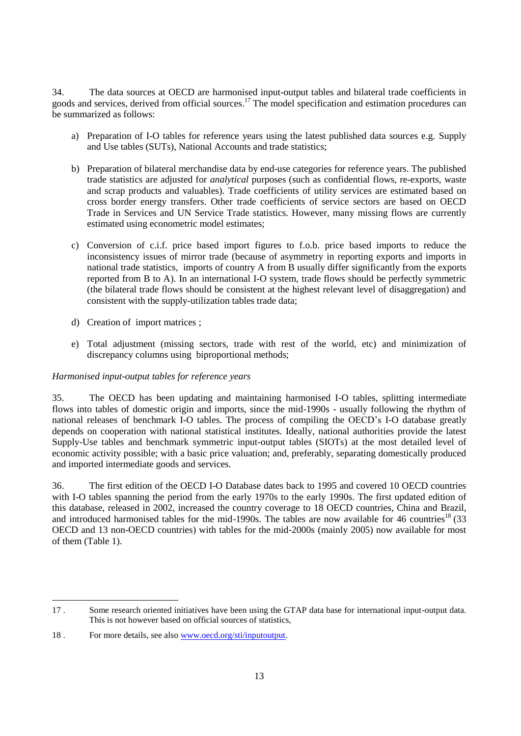34. The data sources at OECD are harmonised input-output tables and bilateral trade coefficients in goods and services, derived from official sources.<sup>17</sup> The model specification and estimation procedures can be summarized as follows:

- a) Preparation of I-O tables for reference years using the latest published data sources e.g. Supply and Use tables (SUTs), National Accounts and trade statistics;
- b) Preparation of bilateral merchandise data by end-use categories for reference years. The published trade statistics are adjusted for *analytical* purposes (such as confidential flows, re-exports, waste and scrap products and valuables). Trade coefficients of utility services are estimated based on cross border energy transfers. Other trade coefficients of service sectors are based on OECD Trade in Services and UN Service Trade statistics. However, many missing flows are currently estimated using econometric model estimates;
- c) Conversion of c.i.f. price based import figures to f.o.b. price based imports to reduce the inconsistency issues of mirror trade (because of asymmetry in reporting exports and imports in national trade statistics, imports of country A from B usually differ significantly from the exports reported from B to A). In an international I-O system, trade flows should be perfectly symmetric (the bilateral trade flows should be consistent at the highest relevant level of disaggregation) and consistent with the supply-utilization tables trade data;
- d) Creation of import matrices ;
- e) Total adjustment (missing sectors, trade with rest of the world, etc) and minimization of discrepancy columns using biproportional methods;

## *Harmonised input-output tables for reference years*

35. The OECD has been updating and maintaining harmonised I-O tables, splitting intermediate flows into tables of domestic origin and imports, since the mid-1990s - usually following the rhythm of national releases of benchmark I-O tables. The process of compiling the OECD's I-O database greatly depends on cooperation with national statistical institutes. Ideally, national authorities provide the latest Supply-Use tables and benchmark symmetric input-output tables (SIOTs) at the most detailed level of economic activity possible; with a basic price valuation; and, preferably, separating domestically produced and imported intermediate goods and services.

36. The first edition of the OECD I-O Database dates back to 1995 and covered 10 OECD countries with I-O tables spanning the period from the early 1970s to the early 1990s. The first updated edition of this database, released in 2002, increased the country coverage to 18 OECD countries, China and Brazil, and introduced harmonised tables for the mid-1990s. The tables are now available for 46 countries<sup>18</sup> (33 OECD and 13 non-OECD countries) with tables for the mid-2000s (mainly 2005) now available for most of them (Table 1).

 $\overline{a}$ 17 . Some research oriented initiatives have been using the GTAP data base for international input-output data. This is not however based on official sources of statistics,

<sup>18 .</sup> For more details, see also [www.oecd.org/sti/inputoutput.](file:///C:/Documents%20and%20Settings/Lesher_M/Local%20Settings/Temporary%20Internet%20Files/Content.Outlook/Local%20Settings/Temporary%20Internet%20Files/webb_c/Local%20Settings/Temporary%20Internet%20Files/Content.Outlook/AppData/Local/Microsoft/Windows/Temporary%20Internet%20Files/Viriat_M/Local%20Settings/Temporary%20Internet%20Files/Content.Outlook/AppData/Local/Microsoft/Windows/Temporary%20Internet%20Files/Content.IE5/Local%20Settings/Temporary%20Internet%20Files/Content.Outlook/AppData/Local/Microsoft/Windows/Documents%20and%20Settings/ahmad_n/Local%20Settings/Temporary%20Internet%20Files/Colin/AppData/Local/Microsoft/Windows/Temporary%20Internet%20Files/Low/Content.IE5/ISIPHGEP/www.oecd.org/sti/inputoutput)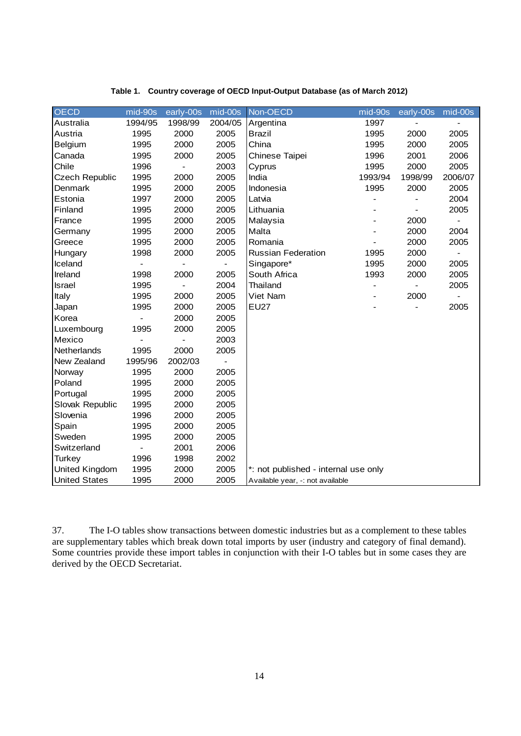| <b>OECD</b>           | mid-90s                      | early-00s                    | mid-00s | Non-OECD                             | mid-90s | early-00s | mid-00s        |
|-----------------------|------------------------------|------------------------------|---------|--------------------------------------|---------|-----------|----------------|
| Australia             | 1994/95                      | 1998/99                      | 2004/05 | Argentina                            | 1997    |           |                |
| Austria               | 1995                         | 2000                         | 2005    | <b>Brazil</b>                        | 1995    | 2000      | 2005           |
| Belgium               | 1995                         | 2000                         | 2005    | China                                | 1995    | 2000      | 2005           |
| Canada                | 1995                         | 2000                         | 2005    | Chinese Taipei                       | 1996    | 2001      | 2006           |
| Chile                 | 1996                         | $\qquad \qquad \blacksquare$ | 2003    | Cyprus                               | 1995    | 2000      | 2005           |
| <b>Czech Republic</b> | 1995                         | 2000                         | 2005    | India                                | 1993/94 | 1998/99   | 2006/07        |
| Denmark               | 1995                         | 2000                         | 2005    | Indonesia                            | 1995    | 2000      | 2005           |
| Estonia               | 1997                         | 2000                         | 2005    | Latvia                               |         |           | 2004           |
| Finland               | 1995                         | 2000                         | 2005    | Lithuania                            |         |           | 2005           |
| France                | 1995                         | 2000                         | 2005    | Malaysia                             |         | 2000      |                |
| Germany               | 1995                         | 2000                         | 2005    | Malta                                |         | 2000      | 2004           |
| Greece                | 1995                         | 2000                         | 2005    | Romania                              |         | 2000      | 2005           |
| Hungary               | 1998                         | 2000                         | 2005    | <b>Russian Federation</b>            | 1995    | 2000      | $\blacksquare$ |
| Iceland               | $\qquad \qquad \blacksquare$ |                              |         | Singapore*                           | 1995    | 2000      | 2005           |
| Ireland               | 1998                         | 2000                         | 2005    | South Africa                         | 1993    | 2000      | 2005           |
| <b>Israel</b>         | 1995                         |                              | 2004    | Thailand                             |         |           | 2005           |
| Italy                 | 1995                         | 2000                         | 2005    | Viet Nam                             |         | 2000      |                |
| Japan                 | 1995                         | 2000                         | 2005    | <b>EU27</b>                          |         |           | 2005           |
| Korea                 |                              | 2000                         | 2005    |                                      |         |           |                |
| Luxembourg            | 1995                         | 2000                         | 2005    |                                      |         |           |                |
| Mexico                |                              |                              | 2003    |                                      |         |           |                |
| Netherlands           | 1995                         | 2000                         | 2005    |                                      |         |           |                |
| New Zealand           | 1995/96                      | 2002/03                      |         |                                      |         |           |                |
| Norway                | 1995                         | 2000                         | 2005    |                                      |         |           |                |
| Poland                | 1995                         | 2000                         | 2005    |                                      |         |           |                |
| Portugal              | 1995                         | 2000                         | 2005    |                                      |         |           |                |
| Slovak Republic       | 1995                         | 2000                         | 2005    |                                      |         |           |                |
| Slovenia              | 1996                         | 2000                         | 2005    |                                      |         |           |                |
| Spain                 | 1995                         | 2000                         | 2005    |                                      |         |           |                |
| Sweden                | 1995                         | 2000                         | 2005    |                                      |         |           |                |
| Switzerland           |                              | 2001                         | 2006    |                                      |         |           |                |
| <b>Turkey</b>         | 1996                         | 1998                         | 2002    |                                      |         |           |                |
| United Kingdom        | 1995                         | 2000                         | 2005    | *: not published - internal use only |         |           |                |
| <b>United States</b>  | 1995                         | 2000                         | 2005    | Available year, -: not available     |         |           |                |

### **Table 1. Country coverage of OECD Input-Output Database (as of March 2012)**

37. The I-O tables show transactions between domestic industries but as a complement to these tables are supplementary tables which break down total imports by user (industry and category of final demand). Some countries provide these import tables in conjunction with their I-O tables but in some cases they are derived by the OECD Secretariat.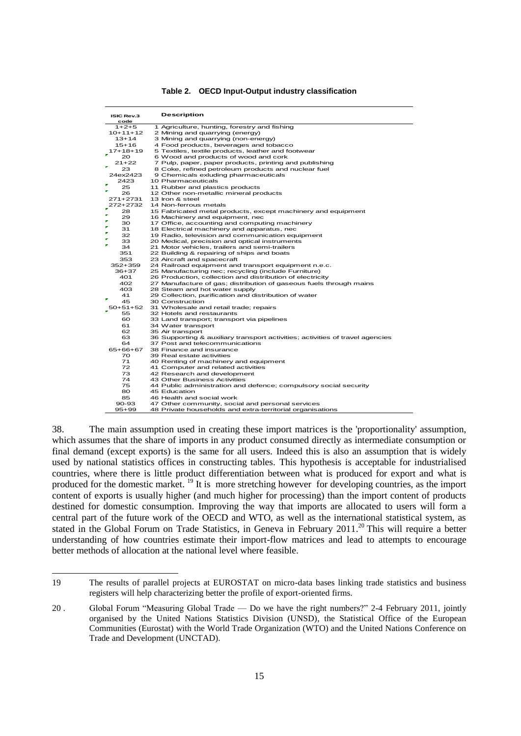| <b>ISIC Rev.3</b><br>code | <b>Description</b>                                                            |
|---------------------------|-------------------------------------------------------------------------------|
| $1+2+5$                   | 1 Agriculture, hunting, forestry and fishing                                  |
| $10+11+12$                | 2 Mining and quarrying (energy)                                               |
| $13 + 14$                 | 3 Mining and quarrying (non-energy)                                           |
| $15 + 16$                 | 4 Food products, beverages and tobacco                                        |
| $17+18+19$                | 5 Textiles, textile products, leather and footwear                            |
| 20                        | 6 Wood and products of wood and cork                                          |
| $21+22$                   | 7 Pulp, paper, paper products, printing and publishing                        |
| ×<br>23                   | 8 Coke, refined petroleum products and nuclear fuel                           |
| 24ex2423                  | 9 Chemicals exluding pharmaceuticals                                          |
| 2423                      | 10 Pharmaceuticals                                                            |
| 25                        | 11 Rubber and plastics products                                               |
| 26                        | 12 Other non-metallic mineral products                                        |
| 271+2731                  | 13 Iron & steel                                                               |
| 272+2732                  | 14 Non-ferrous metals                                                         |
| 28                        | 15 Fabricated metal products, except machinery and equipment                  |
| ×<br>29                   | 16 Machinery and equipment, nec                                               |
| ×.<br>30                  | 17 Office, accounting and computing machinery                                 |
| ۰<br>31<br>٠              | 18 Electrical machinery and apparatus, nec                                    |
| 32<br>×                   | 19 Radio, television and communication equipment                              |
| 33<br>×                   | 20 Medical, precision and optical instruments                                 |
| 34                        | 21 Motor vehicles, trailers and semi-trailers                                 |
| 351                       | 22 Building & repairing of ships and boats                                    |
| 353                       | 23 Aircraft and spacecraft                                                    |
| 352+359                   | 24 Railroad equipment and transport equipment n.e.c.                          |
| $36+37$                   | 25 Manufacturing nec; recycling (include Furniture)                           |
| 401                       | 26 Production, collection and distribution of electricity                     |
| 402                       | 27 Manufacture of gas; distribution of gaseous fuels through mains            |
| 403                       | 28 Steam and hot water supply                                                 |
| 41                        | 29 Collection, purification and distribution of water                         |
| 45                        | 30 Construction                                                               |
| 50+51+52                  | 31 Wholesale and retail trade; repairs                                        |
| 55                        | 32 Hotels and restaurants                                                     |
| 60                        | 33 Land transport; transport via pipelines                                    |
| 61                        | 34 Water transport                                                            |
| 62                        | 35 Air transport                                                              |
| 63                        | 36 Supporting & auxiliary transport activities; activities of travel agencies |
| 64                        | 37 Post and telecommunications                                                |
| 65+66+67                  | 38 Finance and insurance                                                      |
| 70.                       | 39 Real estate activities                                                     |
| 71                        | 40 Renting of machinery and equipment                                         |
| 72                        | 41 Computer and related activities                                            |
| 73                        | 42 Research and development                                                   |
| 74                        | 43 Other Business Activities                                                  |
| 75                        | 44 Public administration and defence; compulsory social security              |
| 80                        | 45 Education                                                                  |
| 85                        | 46 Health and social work                                                     |
| 90-93                     | 47 Other community, social and personal services                              |
| $95 + 99$                 | 48 Private households and extra-territorial organisations                     |

#### **Table 2. OECD Input-Output industry classification**

38. The main assumption used in creating these import matrices is the 'proportionality' assumption, which assumes that the share of imports in any product consumed directly as intermediate consumption or final demand (except exports) is the same for all users. Indeed this is also an assumption that is widely used by national statistics offices in constructing tables. This hypothesis is acceptable for industrialised countries, where there is little product differentiation between what is produced for export and what is produced for the domestic market. <sup>19</sup> It is more stretching however for developing countries, as the import content of exports is usually higher (and much higher for processing) than the import content of products destined for domestic consumption. Improving the way that imports are allocated to users will form a central part of the future work of the OECD and WTO, as well as the international statistical system, as stated in the Global Forum on Trade Statistics, in Geneva in February 2011.<sup>20</sup> This will require a better understanding of how countries estimate their import-flow matrices and lead to attempts to encourage better methods of allocation at the national level where feasible.

<sup>19</sup> The results of parallel projects at EUROSTAT on micro-data bases linking trade statistics and business registers will help characterizing better the profile of export-oriented firms.

<sup>20</sup> . Global Forum "Measuring Global Trade — Do we have the right numbers?" 2-4 February 2011, jointly organised by the United Nations Statistics Division (UNSD), the Statistical Office of the European Communities (Eurostat) with the World Trade Organization (WTO) and the United Nations Conference on Trade and Development (UNCTAD).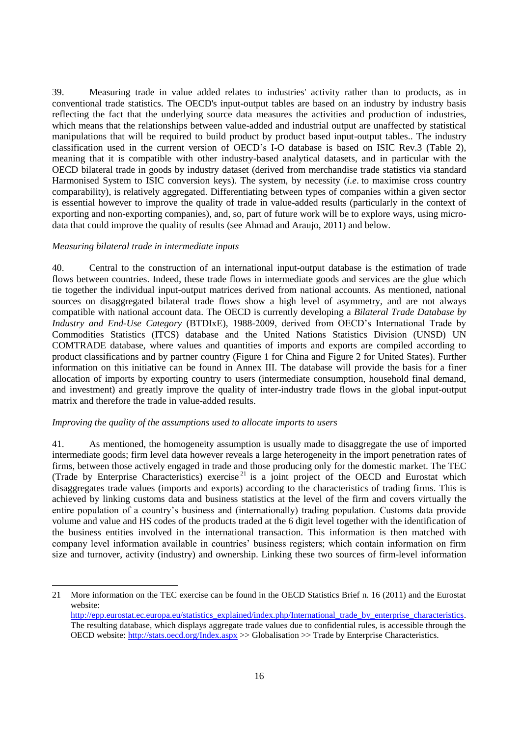39. Measuring trade in value added relates to industries' activity rather than to products, as in conventional trade statistics. The OECD's input-output tables are based on an industry by industry basis reflecting the fact that the underlying source data measures the activities and production of industries, which means that the relationships between value-added and industrial output are unaffected by statistical manipulations that will be required to build product by product based input-output tables.. The industry classification used in the current version of OECD's I-O database is based on ISIC Rev.3 (Table 2), meaning that it is compatible with other industry-based analytical datasets, and in particular with the OECD bilateral trade in goods by industry dataset (derived from merchandise trade statistics via standard Harmonised System to ISIC conversion keys). The system, by necessity (*i.e*. to maximise cross country comparability), is relatively aggregated. Differentiating between types of companies within a given sector is essential however to improve the quality of trade in value-added results (particularly in the context of exporting and non-exporting companies), and, so, part of future work will be to explore ways, using microdata that could improve the quality of results (see Ahmad and Araujo, 2011) and below.

### *Measuring bilateral trade in intermediate inputs*

40. Central to the construction of an international input-output database is the estimation of trade flows between countries. Indeed, these trade flows in intermediate goods and services are the glue which tie together the individual input-output matrices derived from national accounts. As mentioned, national sources on disaggregated bilateral trade flows show a high level of asymmetry, and are not always compatible with national account data. The OECD is currently developing a *Bilateral Trade Database by Industry and End-Use Category* (BTDIxE), 1988-2009, derived from OECD's International Trade by Commodities Statistics (ITCS) database and the United Nations Statistics Division (UNSD) UN COMTRADE database, where values and quantities of imports and exports are compiled according to product classifications and by partner country (Figure 1 for China and Figure 2 for United States). Further information on this initiative can be found in Annex III. The database will provide the basis for a finer allocation of imports by exporting country to users (intermediate consumption, household final demand, and investment) and greatly improve the quality of inter-industry trade flows in the global input-output matrix and therefore the trade in value-added results.

### *Improving the quality of the assumptions used to allocate imports to users*

41. As mentioned, the homogeneity assumption is usually made to disaggregate the use of imported intermediate goods; firm level data however reveals a large heterogeneity in the import penetration rates of firms, between those actively engaged in trade and those producing only for the domestic market. The TEC (Trade by Enterprise Characteristics) exercise<sup>21</sup> is a joint project of the OECD and Eurostat which disaggregates trade values (imports and exports) according to the characteristics of trading firms. This is achieved by linking customs data and business statistics at the level of the firm and covers virtually the entire population of a country's business and (internationally) trading population. Customs data provide volume and value and HS codes of the products traded at the 6 digit level together with the identification of the business entities involved in the international transaction. This information is then matched with company level information available in countries' business registers; which contain information on firm size and turnover, activity (industry) and ownership. Linking these two sources of firm-level information

<sup>21</sup> More information on the TEC exercise can be found in the OECD Statistics Brief n. 16 (2011) and the Eurostat website: [http://epp.eurostat.ec.europa.eu/statistics\\_explained/index.php/International\\_trade\\_by\\_enterprise\\_characteristics.](http://epp.eurostat.ec.europa.eu/statistics_explained/index.php/International_trade_by_enterprise_characteristics)  The resulting database, which displays aggregate trade values due to confidential rules, is accessible through the

OECD website:<http://stats.oecd.org/Index.aspx> >> Globalisation >> Trade by Enterprise Characteristics.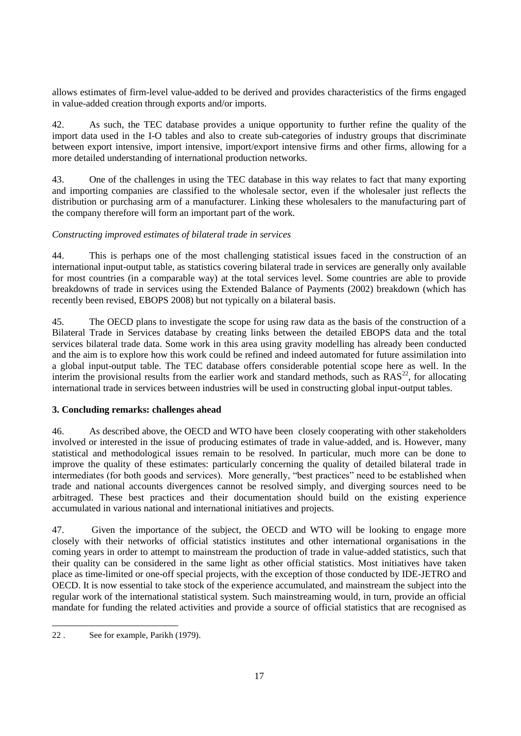allows estimates of firm-level value-added to be derived and provides characteristics of the firms engaged in value-added creation through exports and/or imports.

42. As such, the TEC database provides a unique opportunity to further refine the quality of the import data used in the I-O tables and also to create sub-categories of industry groups that discriminate between export intensive, import intensive, import/export intensive firms and other firms, allowing for a more detailed understanding of international production networks.

43. One of the challenges in using the TEC database in this way relates to fact that many exporting and importing companies are classified to the wholesale sector, even if the wholesaler just reflects the distribution or purchasing arm of a manufacturer. Linking these wholesalers to the manufacturing part of the company therefore will form an important part of the work.

## *Constructing improved estimates of bilateral trade in services*

44. This is perhaps one of the most challenging statistical issues faced in the construction of an international input-output table, as statistics covering bilateral trade in services are generally only available for most countries (in a comparable way) at the total services level. Some countries are able to provide breakdowns of trade in services using the Extended Balance of Payments (2002) breakdown (which has recently been revised, EBOPS 2008) but not typically on a bilateral basis.

45. The OECD plans to investigate the scope for using raw data as the basis of the construction of a Bilateral Trade in Services database by creating links between the detailed EBOPS data and the total services bilateral trade data. Some work in this area using gravity modelling has already been conducted and the aim is to explore how this work could be refined and indeed automated for future assimilation into a global input-output table. The TEC database offers considerable potential scope here as well. In the interim the provisional results from the earlier work and standard methods, such as  $RAS^{22}$ , for allocating international trade in services between industries will be used in constructing global input-output tables.

## **3. Concluding remarks: challenges ahead**

46. As described above, the OECD and WTO have been closely cooperating with other stakeholders involved or interested in the issue of producing estimates of trade in value-added, and is. However, many statistical and methodological issues remain to be resolved. In particular, much more can be done to improve the quality of these estimates: particularly concerning the quality of detailed bilateral trade in intermediates (for both goods and services). More generally, "best practices" need to be established when trade and national accounts divergences cannot be resolved simply, and diverging sources need to be arbitraged. These best practices and their documentation should build on the existing experience accumulated in various national and international initiatives and projects.

47. Given the importance of the subject, the OECD and WTO will be looking to engage more closely with their networks of official statistics institutes and other international organisations in the coming years in order to attempt to mainstream the production of trade in value-added statistics, such that their quality can be considered in the same light as other official statistics. Most initiatives have taken place as time-limited or one-off special projects, with the exception of those conducted by IDE-JETRO and OECD. It is now essential to take stock of the experience accumulated, and mainstream the subject into the regular work of the international statistical system. Such mainstreaming would, in turn, provide an official mandate for funding the related activities and provide a source of official statistics that are recognised as

<sup>22</sup> . See for example, Parikh (1979).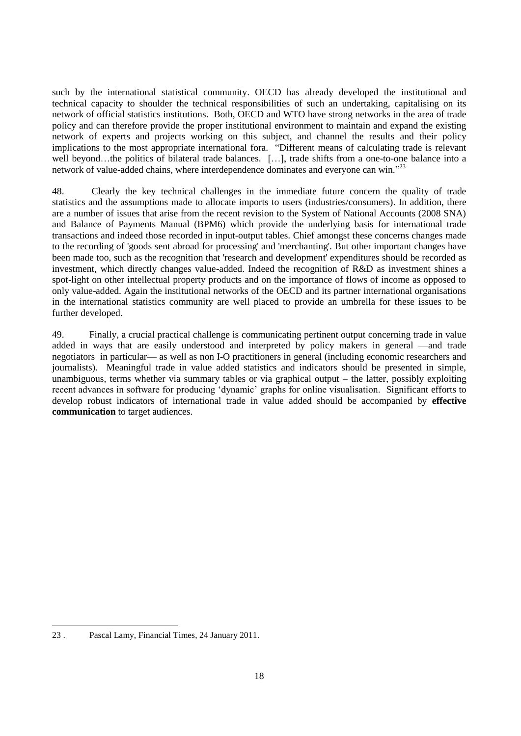such by the international statistical community. OECD has already developed the institutional and technical capacity to shoulder the technical responsibilities of such an undertaking, capitalising on its network of official statistics institutions. Both, OECD and WTO have strong networks in the area of trade policy and can therefore provide the proper institutional environment to maintain and expand the existing network of experts and projects working on this subject, and channel the results and their policy implications to the most appropriate international fora. "Different means of calculating trade is relevant well beyond…the politics of bilateral trade balances. […], trade shifts from a one-to-one balance into a network of value-added chains, where interdependence dominates and everyone can win."<sup>23</sup>

48. Clearly the key technical challenges in the immediate future concern the quality of trade statistics and the assumptions made to allocate imports to users (industries/consumers). In addition, there are a number of issues that arise from the recent revision to the System of National Accounts (2008 SNA) and Balance of Payments Manual (BPM6) which provide the underlying basis for international trade transactions and indeed those recorded in input-output tables. Chief amongst these concerns changes made to the recording of 'goods sent abroad for processing' and 'merchanting'. But other important changes have been made too, such as the recognition that 'research and development' expenditures should be recorded as investment, which directly changes value-added. Indeed the recognition of R&D as investment shines a spot-light on other intellectual property products and on the importance of flows of income as opposed to only value-added. Again the institutional networks of the OECD and its partner international organisations in the international statistics community are well placed to provide an umbrella for these issues to be further developed.

49. Finally, a crucial practical challenge is communicating pertinent output concerning trade in value added in ways that are easily understood and interpreted by policy makers in general —and trade negotiators in particular— as well as non I-O practitioners in general (including economic researchers and journalists). Meaningful trade in value added statistics and indicators should be presented in simple, unambiguous, terms whether via summary tables or via graphical output – the latter, possibly exploiting recent advances in software for producing 'dynamic' graphs for online visualisation. Significant efforts to develop robust indicators of international trade in value added should be accompanied by **effective communication** to target audiences.

<sup>23</sup> . Pascal Lamy, Financial Times, 24 January 2011.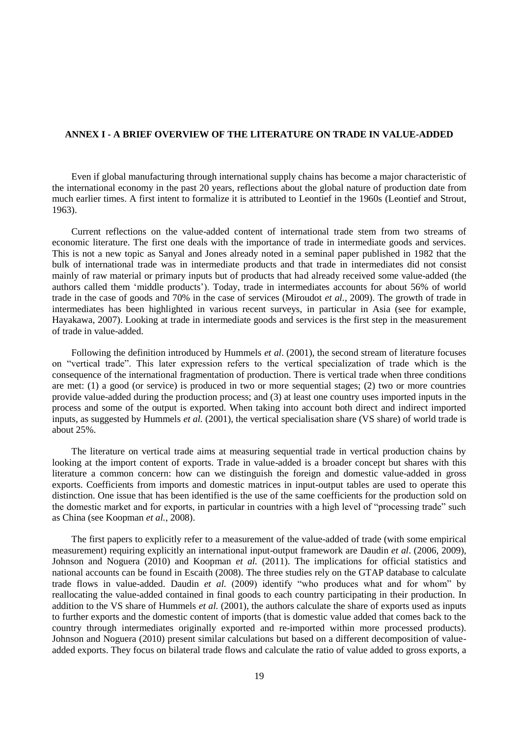### **ANNEX I - A BRIEF OVERVIEW OF THE LITERATURE ON TRADE IN VALUE-ADDED**

Even if global manufacturing through international supply chains has become a major characteristic of the international economy in the past 20 years, reflections about the global nature of production date from much earlier times. A first intent to formalize it is attributed to Leontief in the 1960s (Leontief and Strout, 1963).

Current reflections on the value-added content of international trade stem from two streams of economic literature. The first one deals with the importance of trade in intermediate goods and services. This is not a new topic as Sanyal and Jones already noted in a seminal paper published in 1982 that the bulk of international trade was in intermediate products and that trade in intermediates did not consist mainly of raw material or primary inputs but of products that had already received some value-added (the authors called them 'middle products'). Today, trade in intermediates accounts for about 56% of world trade in the case of goods and 70% in the case of services (Miroudot *et al.*, 2009). The growth of trade in intermediates has been highlighted in various recent surveys, in particular in Asia (see for example, Hayakawa, 2007). Looking at trade in intermediate goods and services is the first step in the measurement of trade in value-added.

Following the definition introduced by Hummels *et al*. (2001), the second stream of literature focuses on "vertical trade". This later expression refers to the vertical specialization of trade which is the consequence of the international fragmentation of production. There is vertical trade when three conditions are met: (1) a good (or service) is produced in two or more sequential stages; (2) two or more countries provide value-added during the production process; and (3) at least one country uses imported inputs in the process and some of the output is exported. When taking into account both direct and indirect imported inputs, as suggested by Hummels *et al.* (2001), the vertical specialisation share (VS share) of world trade is about 25%.

The literature on vertical trade aims at measuring sequential trade in vertical production chains by looking at the import content of exports. Trade in value-added is a broader concept but shares with this literature a common concern: how can we distinguish the foreign and domestic value-added in gross exports. Coefficients from imports and domestic matrices in input-output tables are used to operate this distinction. One issue that has been identified is the use of the same coefficients for the production sold on the domestic market and for exports, in particular in countries with a high level of "processing trade" such as China (see Koopman *et al.*, 2008).

The first papers to explicitly refer to a measurement of the value-added of trade (with some empirical measurement) requiring explicitly an international input-output framework are Daudin *et al*. (2006, 2009), Johnson and Noguera (2010) and Koopman *et al.* (2011). The implications for official statistics and national accounts can be found in Escaith (2008). The three studies rely on the GTAP database to calculate trade flows in value-added. Daudin *et al.* (2009) identify "who produces what and for whom" by reallocating the value-added contained in final goods to each country participating in their production. In addition to the VS share of Hummels *et al.* (2001), the authors calculate the share of exports used as inputs to further exports and the domestic content of imports (that is domestic value added that comes back to the country through intermediates originally exported and re-imported within more processed products). Johnson and Noguera (2010) present similar calculations but based on a different decomposition of valueadded exports. They focus on bilateral trade flows and calculate the ratio of value added to gross exports, a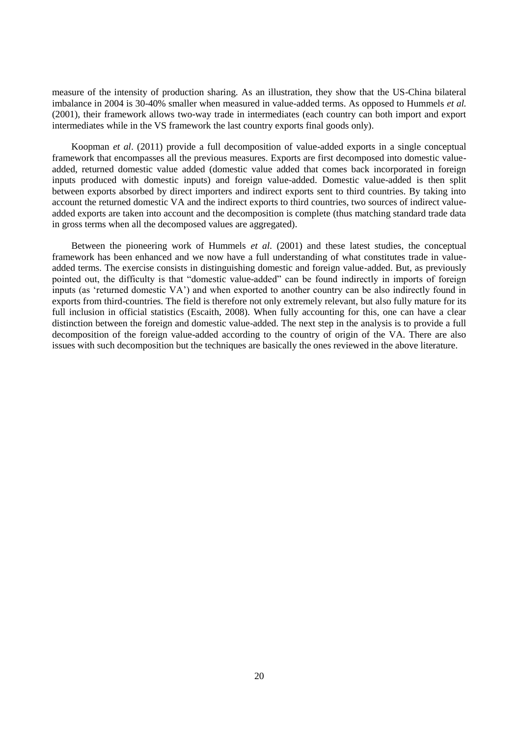measure of the intensity of production sharing. As an illustration, they show that the US-China bilateral imbalance in 2004 is 30-40% smaller when measured in value-added terms. As opposed to Hummels *et al.*  (2001), their framework allows two-way trade in intermediates (each country can both import and export intermediates while in the VS framework the last country exports final goods only).

Koopman *et al*. (2011) provide a full decomposition of value-added exports in a single conceptual framework that encompasses all the previous measures. Exports are first decomposed into domestic valueadded, returned domestic value added (domestic value added that comes back incorporated in foreign inputs produced with domestic inputs) and foreign value-added. Domestic value-added is then split between exports absorbed by direct importers and indirect exports sent to third countries. By taking into account the returned domestic VA and the indirect exports to third countries, two sources of indirect valueadded exports are taken into account and the decomposition is complete (thus matching standard trade data in gross terms when all the decomposed values are aggregated).

Between the pioneering work of Hummels *et al.* (2001) and these latest studies, the conceptual framework has been enhanced and we now have a full understanding of what constitutes trade in valueadded terms. The exercise consists in distinguishing domestic and foreign value-added. But, as previously pointed out, the difficulty is that "domestic value-added" can be found indirectly in imports of foreign inputs (as 'returned domestic VA') and when exported to another country can be also indirectly found in exports from third-countries. The field is therefore not only extremely relevant, but also fully mature for its full inclusion in official statistics (Escaith, 2008). When fully accounting for this, one can have a clear distinction between the foreign and domestic value-added. The next step in the analysis is to provide a full decomposition of the foreign value-added according to the country of origin of the VA. There are also issues with such decomposition but the techniques are basically the ones reviewed in the above literature.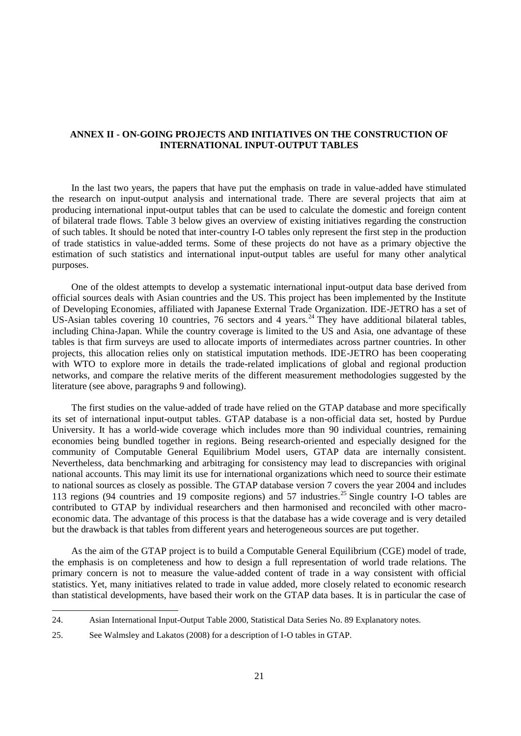### **ANNEX II - ON-GOING PROJECTS AND INITIATIVES ON THE CONSTRUCTION OF INTERNATIONAL INPUT-OUTPUT TABLES**

In the last two years, the papers that have put the emphasis on trade in value-added have stimulated the research on input-output analysis and international trade. There are several projects that aim at producing international input-output tables that can be used to calculate the domestic and foreign content of bilateral trade flows. Table 3 below gives an overview of existing initiatives regarding the construction of such tables. It should be noted that inter-country I-O tables only represent the first step in the production of trade statistics in value-added terms. Some of these projects do not have as a primary objective the estimation of such statistics and international input-output tables are useful for many other analytical purposes.

One of the oldest attempts to develop a systematic international input-output data base derived from official sources deals with Asian countries and the US. This project has been implemented by the Institute of Developing Economies, affiliated with Japanese External Trade Organization. IDE-JETRO has a set of US-Asian tables covering 10 countries, 76 sectors and 4 years.<sup>24</sup> They have additional bilateral tables, including China-Japan. While the country coverage is limited to the US and Asia, one advantage of these tables is that firm surveys are used to allocate imports of intermediates across partner countries. In other projects, this allocation relies only on statistical imputation methods. IDE-JETRO has been cooperating with WTO to explore more in details the trade-related implications of global and regional production networks, and compare the relative merits of the different measurement methodologies suggested by the literature (see above, paragraphs 9 and following).

The first studies on the value-added of trade have relied on the GTAP database and more specifically its set of international input-output tables. GTAP database is a non-official data set, hosted by Purdue University. It has a world-wide coverage which includes more than 90 individual countries, remaining economies being bundled together in regions. Being research-oriented and especially designed for the community of Computable General Equilibrium Model users, GTAP data are internally consistent. Nevertheless, data benchmarking and arbitraging for consistency may lead to discrepancies with original national accounts. This may limit its use for international organizations which need to source their estimate to national sources as closely as possible. The GTAP database version 7 covers the year 2004 and includes 113 regions (94 countries and 19 composite regions) and 57 industries.<sup>25</sup> Single country I-O tables are contributed to GTAP by individual researchers and then harmonised and reconciled with other macroeconomic data. The advantage of this process is that the database has a wide coverage and is very detailed but the drawback is that tables from different years and heterogeneous sources are put together.

As the aim of the GTAP project is to build a Computable General Equilibrium (CGE) model of trade, the emphasis is on completeness and how to design a full representation of world trade relations. The primary concern is not to measure the value-added content of trade in a way consistent with official statistics. Yet, many initiatives related to trade in value added, more closely related to economic research than statistical developments, have based their work on the GTAP data bases. It is in particular the case of

<sup>24.</sup> Asian International Input-Output Table 2000, Statistical Data Series No. 89 Explanatory notes.

<sup>25.</sup> See Walmsley and Lakatos (2008) for a description of I-O tables in GTAP.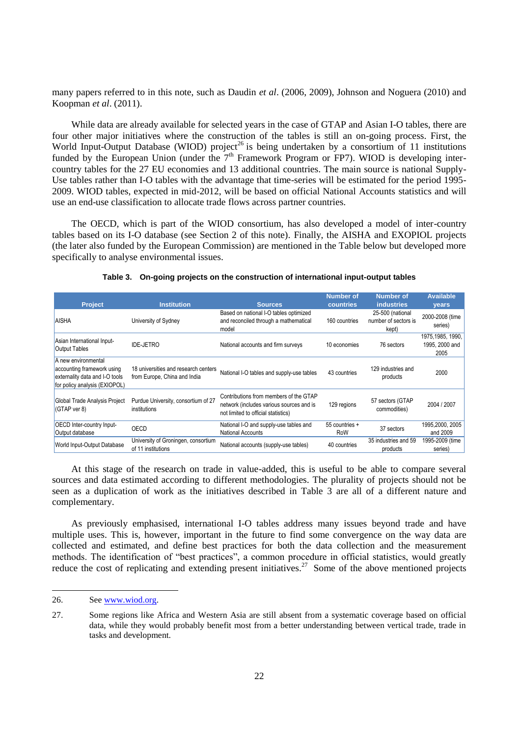many papers referred to in this note, such as Daudin *et al*. (2006, 2009), Johnson and Noguera (2010) and Koopman *et al*. (2011).

While data are already available for selected years in the case of GTAP and Asian I-O tables, there are four other major initiatives where the construction of the tables is still an on-going process. First, the World Input-Output Database (WIOD) project<sup>26</sup> is being undertaken by a consortium of 11 institutions funded by the European Union (under the  $7<sup>th</sup>$  Framework Program or FP7). WIOD is developing intercountry tables for the 27 EU economies and 13 additional countries. The main source is national Supply-Use tables rather than I-O tables with the advantage that time-series will be estimated for the period 1995- 2009. WIOD tables, expected in mid-2012, will be based on official National Accounts statistics and will use an end-use classification to allocate trade flows across partner countries.

The OECD, which is part of the WIOD consortium, has also developed a model of inter-country tables based on its I-O database (see Section 2 of this note). Finally, the AISHA and EXOPIOL projects (the later also funded by the European Commission) are mentioned in the Table below but developed more specifically to analyse environmental issues.

| <b>Project</b>                                                                                                       | <b>Institution</b>                                                   | <b>Sources</b>                                                                                                            | <b>Number of</b><br>countries | <b>Number of</b><br><b>industries</b>             | <b>Available</b><br><b>vears</b>            |
|----------------------------------------------------------------------------------------------------------------------|----------------------------------------------------------------------|---------------------------------------------------------------------------------------------------------------------------|-------------------------------|---------------------------------------------------|---------------------------------------------|
| <b>AISHA</b>                                                                                                         | University of Sydney                                                 | Based on national I-O tables optimized<br>and reconciled through a mathematical<br>model                                  | 160 countries                 | 25-500 (national<br>number of sectors is<br>kept) | 2000-2008 (time<br>series)                  |
| Asian International Input-<br>Output Tables                                                                          | <b>IDE-JETRO</b>                                                     | National accounts and firm surveys                                                                                        | 10 economies                  | 76 sectors                                        | 1975, 1985, 1990,<br>1995, 2000 and<br>2005 |
| A new environmental<br>accounting framework using<br>externality data and I-O tools<br>for policy analysis (EXIOPOL) | 18 universities and research centers<br>from Europe, China and India | National I-O tables and supply-use tables                                                                                 | 43 countries                  | 129 industries and<br>products                    | 2000                                        |
| Global Trade Analysis Project<br>$(GTAP$ ver 8)                                                                      | Purdue University, consortium of 27<br>institutions                  | Contributions from members of the GTAP<br>network (includes various sources and is<br>not limited to official statistics) | 129 regions                   | 57 sectors (GTAP<br>commodities)                  | 2004 / 2007                                 |
| OECD Inter-country Input-<br>Output database                                                                         | <b>OECD</b>                                                          | National I-O and supply-use tables and<br>National Accounts                                                               | 55 countries +<br>RoW         | 37 sectors                                        | 1995,2000, 2005<br>and 2009                 |
| World Input-Output Database                                                                                          | University of Groningen, consortium<br>of 11 institutions            | National accounts (supply-use tables)                                                                                     | 40 countries                  | 35 industries and 59<br>products                  | 1995-2009 (time<br>series)                  |

|  | Table 3. On-going projects on the construction of international input-output tables |  |
|--|-------------------------------------------------------------------------------------|--|
|  |                                                                                     |  |

At this stage of the research on trade in value-added, this is useful to be able to compare several sources and data estimated according to different methodologies. The plurality of projects should not be seen as a duplication of work as the initiatives described in Table 3 are all of a different nature and complementary.

As previously emphasised, international I-O tables address many issues beyond trade and have multiple uses. This is, however, important in the future to find some convergence on the way data are collected and estimated, and define best practices for both the data collection and the measurement methods. The identification of "best practices", a common procedure in official statistics, would greatly reduce the cost of replicating and extending present initiatives.<sup>27</sup> Some of the above mentioned projects

<sup>26.</sup> See [www.wiod.org.](http://www.wiod.org/)

<sup>27.</sup> Some regions like Africa and Western Asia are still absent from a systematic coverage based on official data, while they would probably benefit most from a better understanding between vertical trade, trade in tasks and development.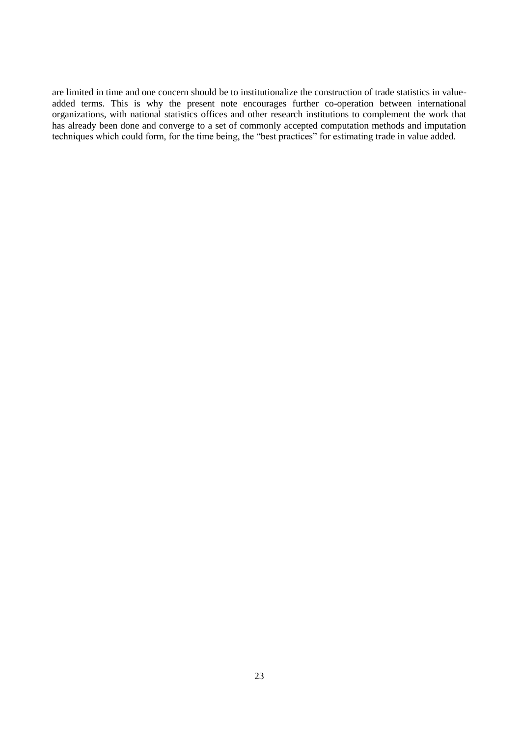are limited in time and one concern should be to institutionalize the construction of trade statistics in valueadded terms. This is why the present note encourages further co-operation between international organizations, with national statistics offices and other research institutions to complement the work that has already been done and converge to a set of commonly accepted computation methods and imputation techniques which could form, for the time being, the "best practices" for estimating trade in value added.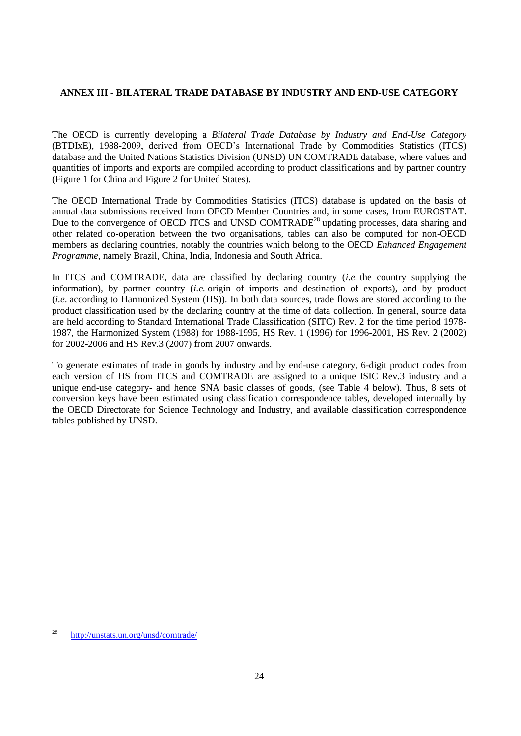# **ANNEX III - BILATERAL TRADE DATABASE BY INDUSTRY AND END-USE CATEGORY**

The OECD is currently developing a *Bilateral Trade Database by Industry and End-Use Category* (BTDIxE), 1988-2009, derived from OECD's International Trade by Commodities Statistics (ITCS) database and the United Nations Statistics Division (UNSD) UN COMTRADE database, where values and quantities of imports and exports are compiled according to product classifications and by partner country (Figure 1 for China and Figure 2 for United States).

The OECD International Trade by Commodities Statistics (ITCS) database is updated on the basis of annual data submissions received from OECD Member Countries and, in some cases, from EUROSTAT. Due to the convergence of OECD ITCS and UNSD COMTRADE<sup>28</sup> updating processes, data sharing and other related co-operation between the two organisations, tables can also be computed for non-OECD members as declaring countries, notably the countries which belong to the OECD *Enhanced Engagement Programme*, namely Brazil, China, India, Indonesia and South Africa.

In ITCS and COMTRADE, data are classified by declaring country (*i.e.* the country supplying the information), by partner country (*i.e.* origin of imports and destination of exports), and by product (*i.e*. according to Harmonized System (HS)). In both data sources, trade flows are stored according to the product classification used by the declaring country at the time of data collection. In general, source data are held according to Standard International Trade Classification (SITC) Rev. 2 for the time period 1978- 1987, the Harmonized System (1988) for 1988-1995, HS Rev. 1 (1996) for 1996-2001, HS Rev. 2 (2002) for 2002-2006 and HS Rev.3 (2007) from 2007 onwards.

To generate estimates of trade in goods by industry and by end-use category, 6-digit product codes from each version of HS from ITCS and COMTRADE are assigned to a unique ISIC Rev.3 industry and a unique end-use category- and hence SNA basic classes of goods, (see Table 4 below). Thus, 8 sets of conversion keys have been estimated using classification correspondence tables, developed internally by the OECD Directorate for Science Technology and Industry, and available classification correspondence tables published by UNSD.

<sup>28</sup> <http://unstats.un.org/unsd/comtrade/>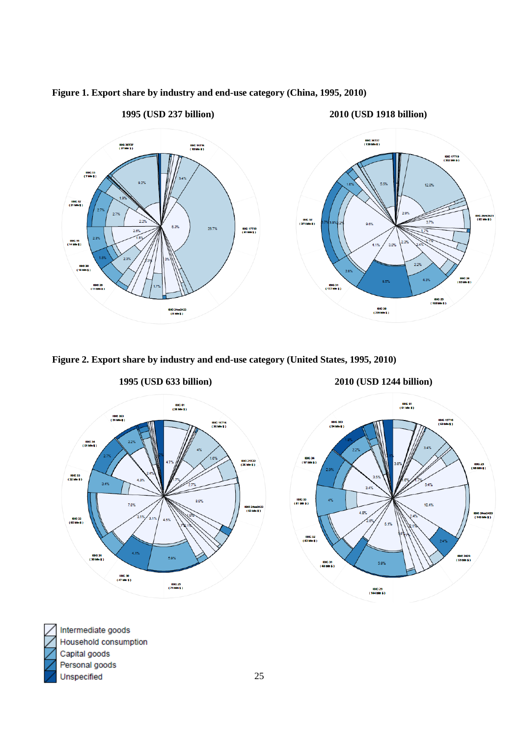



**Figure 2. Export share by industry and end-use category (United States, 1995, 2010)**





Intermediate goods Household consumption Capital goods Personal goods Unspecified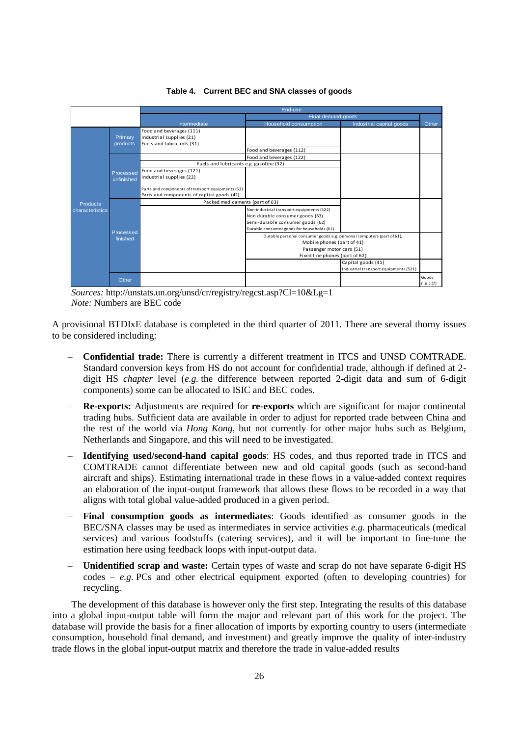

#### **Table 4. Current BEC and SNA classes of goods**

*Sources:* http://unstats.un.org/unsd/cr/registry/regcst.asp?Cl=10&Lg=1 *Note:* Numbers are BEC code

A provisional BTDIxE database is completed in the third quarter of 2011. There are several thorny issues to be considered including:

- **Confidential trade:** There is currently a different treatment in ITCS and UNSD COMTRADE. Standard conversion keys from HS do not account for confidential trade, although if defined at 2 digit HS *chapter* level (*e.g.* the difference between reported 2-digit data and sum of 6-digit components) some can be allocated to ISIC and BEC codes.
- **Re-exports:** Adjustments are required for **re-exports** which are significant for major continental trading hubs. Sufficient data are available in order to adjust for reported trade between China and the rest of the world via *Hong Kong*, but not currently for other major hubs such as Belgium, Netherlands and Singapore, and this will need to be investigated.
- **Identifying used/second-hand capital goods**: HS codes, and thus reported trade in ITCS and COMTRADE cannot differentiate between new and old capital goods (such as second-hand aircraft and ships). Estimating international trade in these flows in a value-added context requires an elaboration of the input-output framework that allows these flows to be recorded in a way that aligns with total global value-added produced in a given period.
- **Final consumption goods as intermediates**: Goods identified as consumer goods in the BEC/SNA classes may be used as intermediates in service activities *e.g*. pharmaceuticals (medical services) and various foodstuffs (catering services), and it will be important to fine-tune the estimation here using feedback loops with input-output data.
- **Unidentified scrap and waste:** Certain types of waste and scrap do not have separate 6-digit HS codes – *e.g.* PCs and other electrical equipment exported (often to developing countries) for recycling.

The development of this database is however only the first step. Integrating the results of this database into a global input-output table will form the major and relevant part of this work for the project. The database will provide the basis for a finer allocation of imports by exporting country to users (intermediate consumption, household final demand, and investment) and greatly improve the quality of inter-industry trade flows in the global input-output matrix and therefore the trade in value-added results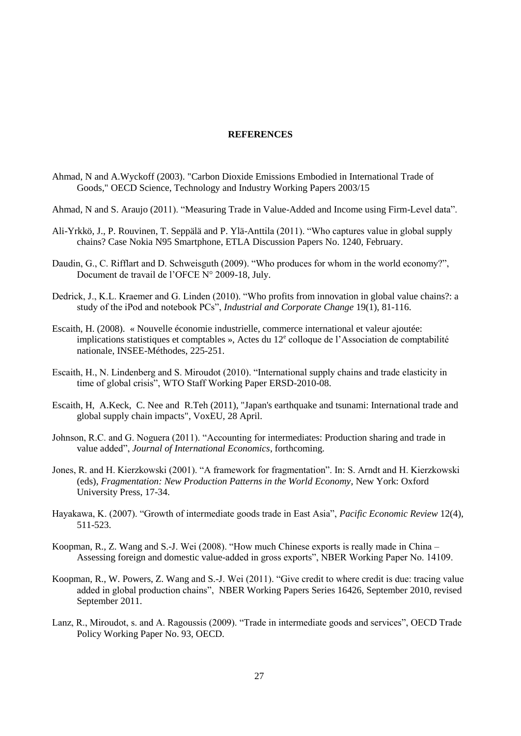### **REFERENCES**

- Ahmad, N and A.Wyckoff (2003). "Carbon Dioxide Emissions Embodied in International Trade of Goods," OECD Science, Technology and Industry Working Papers 2003/15
- Ahmad, N and S. Araujo (2011). "Measuring Trade in Value-Added and Income using Firm-Level data".
- Ali-Yrkkö, J., P. Rouvinen, T. Seppälä and P. Ylä-Anttila (2011). "Who captures value in global supply chains? Case Nokia N95 Smartphone, ETLA Discussion Papers No. 1240, February.
- Daudin, G., C. Rifflart and D. Schweisguth (2009). "Who produces for whom in the world economy?", Document de travail de l'OFCE N° 2009-18, July.
- Dedrick, J., K.L. Kraemer and G. Linden (2010). "Who profits from innovation in global value chains?: a study of the iPod and notebook PCs", *Industrial and Corporate Change* 19(1), 81-116.
- Escaith, H. (2008). « Nouvelle économie industrielle, commerce international et valeur ajoutée: implications statistiques et comptables », Actes du  $12^e$  colloque de l'Association de comptabilité nationale, INSEE-Méthodes, 225-251.
- Escaith, H., N. Lindenberg and S. Miroudot (2010). "International supply chains and trade elasticity in time of global crisis", WTO Staff Working Paper ERSD-2010-08.
- Escaith, H, A.Keck, C. Nee and R.Teh (2011), "Japan's earthquake and tsunami: International trade and global supply chain impacts", VoxEU, 28 April.
- Johnson, R.C. and G. Noguera (2011). "Accounting for intermediates: Production sharing and trade in value added", *Journal of International Economics*, forthcoming.
- Jones, R. and H. Kierzkowski (2001). "A framework for fragmentation". In: S. Arndt and H. Kierzkowski (eds), *Fragmentation: New Production Patterns in the World Economy*, New York: Oxford University Press, 17-34.
- Hayakawa, K. (2007). "Growth of intermediate goods trade in East Asia", *Pacific Economic Review* 12(4), 511-523.
- Koopman, R., Z. Wang and S.-J. Wei (2008). "How much Chinese exports is really made in China Assessing foreign and domestic value-added in gross exports", NBER Working Paper No. 14109.
- Koopman, R., W. Powers, Z. Wang and S.-J. Wei (2011). "Give credit to where credit is due: tracing value added in global production chains", NBER Working Papers Series 16426, September 2010, revised September 2011.
- Lanz, R., Miroudot, s. and A. Ragoussis (2009). "Trade in intermediate goods and services", OECD Trade Policy Working Paper No. 93, OECD.